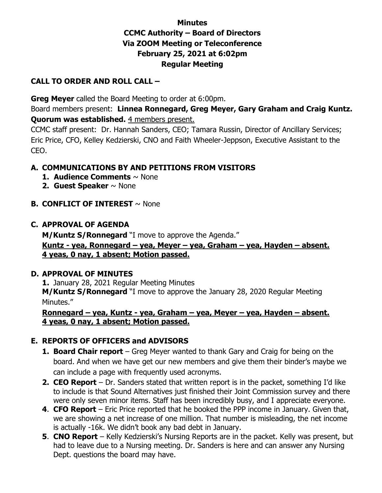# **Minutes CCMC Authority – Board of Directors Via ZOOM Meeting or Teleconference February 25, 2021 at 6:02pm Regular Meeting**

#### **CALL TO ORDER AND ROLL CALL –**

**Greg Meyer** called the Board Meeting to order at 6:00pm.

Board members present: **Linnea Ronnegard, Greg Meyer, Gary Graham and Craig Kuntz. Quorum was established.** 4 members present.

CCMC staff present: Dr. Hannah Sanders, CEO; Tamara Russin, Director of Ancillary Services; Eric Price, CFO, Kelley Kedzierski, CNO and Faith Wheeler-Jeppson, Executive Assistant to the CEO.

# **A. COMMUNICATIONS BY AND PETITIONS FROM VISITORS**

- **1. Audience Comments** ~ None
- **2. Guest Speaker** ~ None
- **B. CONFLICT OF INTEREST** ~ None

### **C. APPROVAL OF AGENDA**

**M/Kuntz S/Ronnegard** "I move to approve the Agenda."

### **Kuntz - yea, Ronnegard – yea, Meyer – yea, Graham – yea, Hayden – absent. 4 yeas, 0 nay, 1 absent; Motion passed.**

#### **D. APPROVAL OF MINUTES**

**1.** January 28, 2021 Regular Meeting Minutes **M/Kuntz S/Ronnegard** "I move to approve the January 28, 2020 Regular Meeting Minutes."

#### **Ronnegard – yea, Kuntz - yea, Graham – yea, Meyer – yea, Hayden – absent. 4 yeas, 0 nay, 1 absent; Motion passed.**

# **E. REPORTS OF OFFICERS and ADVISORS**

- **1. Board Chair report** Greg Meyer wanted to thank Gary and Craig for being on the board. And when we have get our new members and give them their binder's maybe we can include a page with frequently used acronyms.
- **2. CEO Report** Dr. Sanders stated that written report is in the packet, something I'd like to include is that Sound Alternatives just finished their Joint Commission survey and there were only seven minor items. Staff has been incredibly busy, and I appreciate everyone.
- **4**. **CFO Report** Eric Price reported that he booked the PPP income in January. Given that, we are showing a net increase of one million. That number is misleading, the net income is actually -16k. We didn't book any bad debt in January.
- **5**. **CNO Report** Kelly Kedzierski's Nursing Reports are in the packet. Kelly was present, but had to leave due to a Nursing meeting. Dr. Sanders is here and can answer any Nursing Dept. questions the board may have.